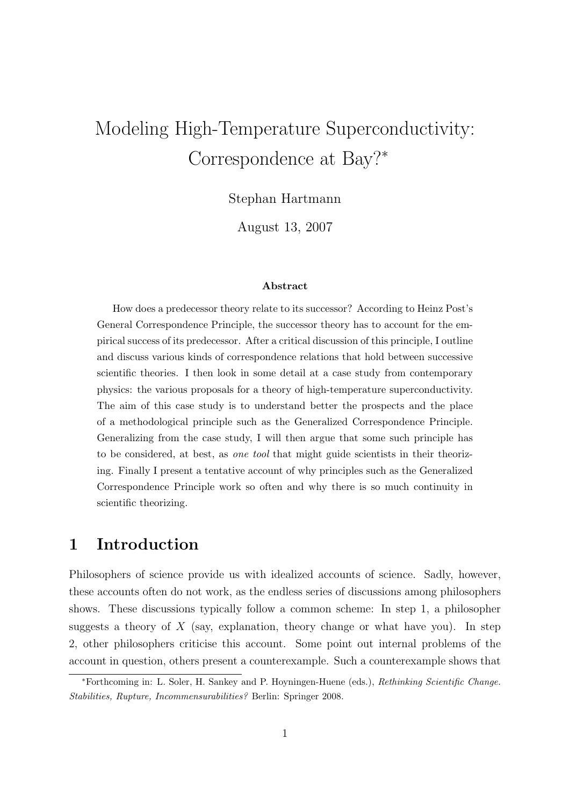# Modeling High-Temperature Superconductivity: Correspondence at Bay?<sup>∗</sup>

Stephan Hartmann

August 13, 2007

#### Abstract

How does a predecessor theory relate to its successor? According to Heinz Post's General Correspondence Principle, the successor theory has to account for the empirical success of its predecessor. After a critical discussion of this principle, I outline and discuss various kinds of correspondence relations that hold between successive scientific theories. I then look in some detail at a case study from contemporary physics: the various proposals for a theory of high-temperature superconductivity. The aim of this case study is to understand better the prospects and the place of a methodological principle such as the Generalized Correspondence Principle. Generalizing from the case study, I will then argue that some such principle has to be considered, at best, as one tool that might guide scientists in their theorizing. Finally I present a tentative account of why principles such as the Generalized Correspondence Principle work so often and why there is so much continuity in scientific theorizing.

### 1 Introduction

Philosophers of science provide us with idealized accounts of science. Sadly, however, these accounts often do not work, as the endless series of discussions among philosophers shows. These discussions typically follow a common scheme: In step 1, a philosopher suggests a theory of  $X$  (say, explanation, theory change or what have you). In step 2, other philosophers criticise this account. Some point out internal problems of the account in question, others present a counterexample. Such a counterexample shows that

<sup>∗</sup>Forthcoming in: L. Soler, H. Sankey and P. Hoyningen-Huene (eds.), Rethinking Scientific Change. Stabilities, Rupture, Incommensurabilities? Berlin: Springer 2008.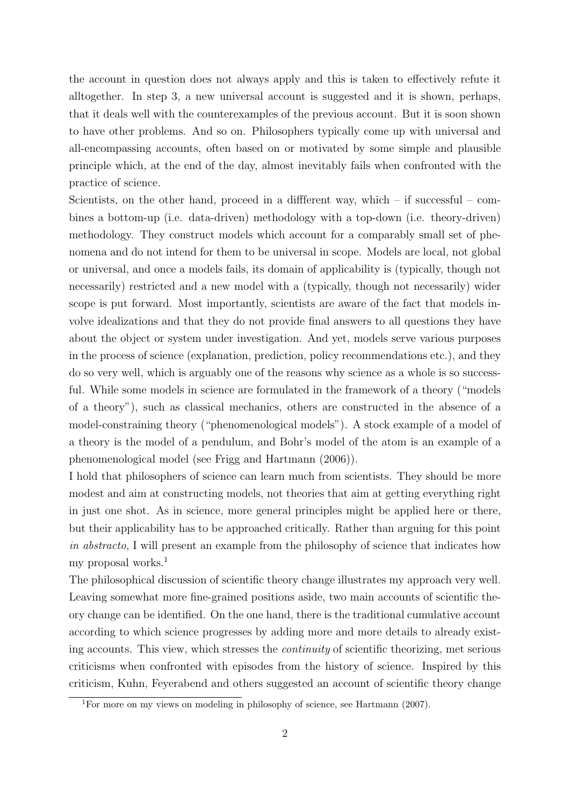the account in question does not always apply and this is taken to effectively refute it alltogether. In step 3, a new universal account is suggested and it is shown, perhaps, that it deals well with the counterexamples of the previous account. But it is soon shown to have other problems. And so on. Philosophers typically come up with universal and all-encompassing accounts, often based on or motivated by some simple and plausible principle which, at the end of the day, almost inevitably fails when confronted with the practice of science.

Scientists, on the other hand, proceed in a different way, which  $-$  if successful  $-$  combines a bottom-up (i.e. data-driven) methodology with a top-down (i.e. theory-driven) methodology. They construct models which account for a comparably small set of phenomena and do not intend for them to be universal in scope. Models are local, not global or universal, and once a models fails, its domain of applicability is (typically, though not necessarily) restricted and a new model with a (typically, though not necessarily) wider scope is put forward. Most importantly, scientists are aware of the fact that models involve idealizations and that they do not provide final answers to all questions they have about the object or system under investigation. And yet, models serve various purposes in the process of science (explanation, prediction, policy recommendations etc.), and they do so very well, which is arguably one of the reasons why science as a whole is so successful. While some models in science are formulated in the framework of a theory ("models of a theory"), such as classical mechanics, others are constructed in the absence of a model-constraining theory ("phenomenological models"). A stock example of a model of a theory is the model of a pendulum, and Bohr's model of the atom is an example of a phenomenological model (see Frigg and Hartmann (2006)).

I hold that philosophers of science can learn much from scientists. They should be more modest and aim at constructing models, not theories that aim at getting everything right in just one shot. As in science, more general principles might be applied here or there, but their applicability has to be approached critically. Rather than arguing for this point in abstracto, I will present an example from the philosophy of science that indicates how my proposal works.<sup>1</sup>

The philosophical discussion of scientific theory change illustrates my approach very well. Leaving somewhat more fine-grained positions aside, two main accounts of scientific theory change can be identified. On the one hand, there is the traditional cumulative account according to which science progresses by adding more and more details to already existing accounts. This view, which stresses the continuity of scientific theorizing, met serious criticisms when confronted with episodes from the history of science. Inspired by this criticism, Kuhn, Feyerabend and others suggested an account of scientific theory change

<sup>&</sup>lt;sup>1</sup>For more on my views on modeling in philosophy of science, see Hartmann  $(2007)$ .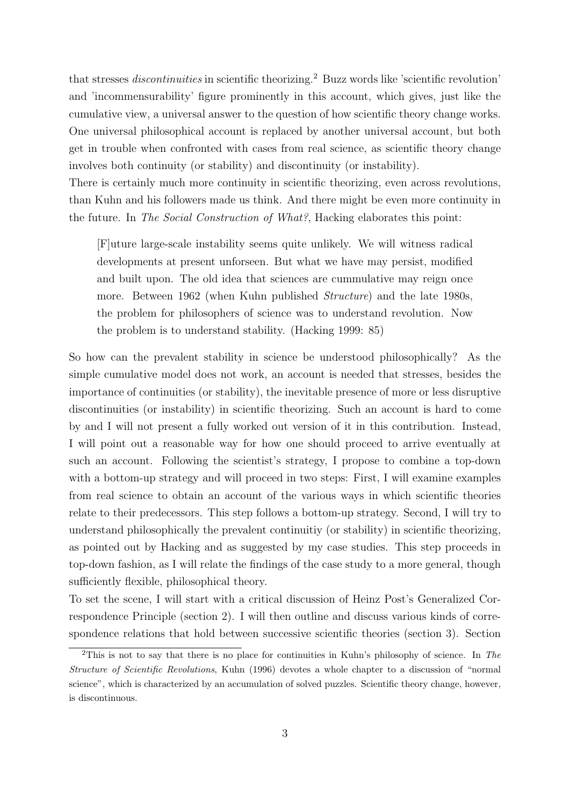that stresses *discontinuities* in scientific theorizing.<sup>2</sup> Buzz words like 'scientific revolution' and 'incommensurability' figure prominently in this account, which gives, just like the cumulative view, a universal answer to the question of how scientific theory change works. One universal philosophical account is replaced by another universal account, but both get in trouble when confronted with cases from real science, as scientific theory change involves both continuity (or stability) and discontinuity (or instability).

There is certainly much more continuity in scientific theorizing, even across revolutions, than Kuhn and his followers made us think. And there might be even more continuity in the future. In The Social Construction of What?, Hacking elaborates this point:

[F]uture large-scale instability seems quite unlikely. We will witness radical developments at present unforseen. But what we have may persist, modified and built upon. The old idea that sciences are cummulative may reign once more. Between 1962 (when Kuhn published *Structure*) and the late 1980s, the problem for philosophers of science was to understand revolution. Now the problem is to understand stability. (Hacking 1999: 85)

So how can the prevalent stability in science be understood philosophically? As the simple cumulative model does not work, an account is needed that stresses, besides the importance of continuities (or stability), the inevitable presence of more or less disruptive discontinuities (or instability) in scientific theorizing. Such an account is hard to come by and I will not present a fully worked out version of it in this contribution. Instead, I will point out a reasonable way for how one should proceed to arrive eventually at such an account. Following the scientist's strategy, I propose to combine a top-down with a bottom-up strategy and will proceed in two steps: First, I will examine examples from real science to obtain an account of the various ways in which scientific theories relate to their predecessors. This step follows a bottom-up strategy. Second, I will try to understand philosophically the prevalent continuitiy (or stability) in scientific theorizing, as pointed out by Hacking and as suggested by my case studies. This step proceeds in top-down fashion, as I will relate the findings of the case study to a more general, though sufficiently flexible, philosophical theory.

To set the scene, I will start with a critical discussion of Heinz Post's Generalized Correspondence Principle (section 2). I will then outline and discuss various kinds of correspondence relations that hold between successive scientific theories (section 3). Section

<sup>&</sup>lt;sup>2</sup>This is not to say that there is no place for continuities in Kuhn's philosophy of science. In The Structure of Scientific Revolutions, Kuhn (1996) devotes a whole chapter to a discussion of "normal science", which is characterized by an accumulation of solved puzzles. Scientific theory change, however, is discontinuous.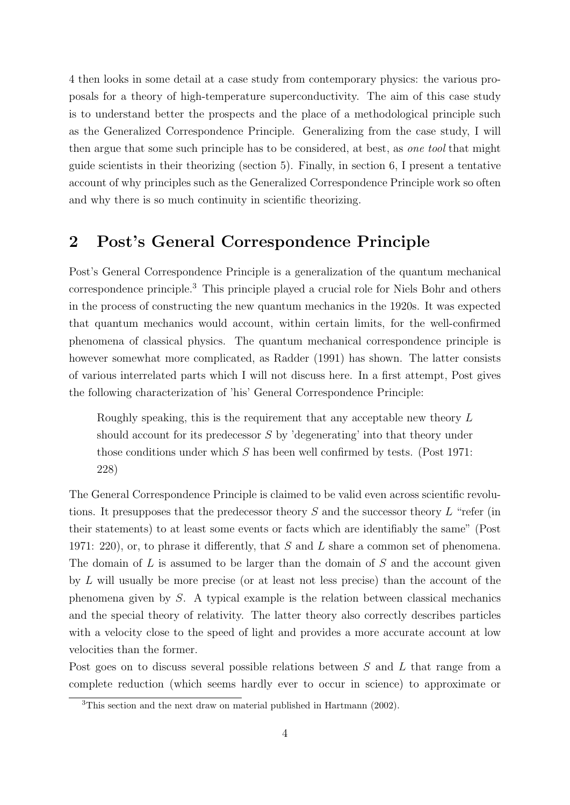4 then looks in some detail at a case study from contemporary physics: the various proposals for a theory of high-temperature superconductivity. The aim of this case study is to understand better the prospects and the place of a methodological principle such as the Generalized Correspondence Principle. Generalizing from the case study, I will then argue that some such principle has to be considered, at best, as one tool that might guide scientists in their theorizing (section 5). Finally, in section 6, I present a tentative account of why principles such as the Generalized Correspondence Principle work so often and why there is so much continuity in scientific theorizing.

### 2 Post's General Correspondence Principle

Post's General Correspondence Principle is a generalization of the quantum mechanical correspondence principle.<sup>3</sup> This principle played a crucial role for Niels Bohr and others in the process of constructing the new quantum mechanics in the 1920s. It was expected that quantum mechanics would account, within certain limits, for the well-confirmed phenomena of classical physics. The quantum mechanical correspondence principle is however somewhat more complicated, as Radder (1991) has shown. The latter consists of various interrelated parts which I will not discuss here. In a first attempt, Post gives the following characterization of 'his' General Correspondence Principle:

Roughly speaking, this is the requirement that any acceptable new theory L should account for its predecessor S by 'degenerating' into that theory under those conditions under which S has been well confirmed by tests. (Post 1971: 228)

The General Correspondence Principle is claimed to be valid even across scientific revolutions. It presupposes that the predecessor theory S and the successor theory L "refer (in their statements) to at least some events or facts which are identifiably the same" (Post 1971: 220), or, to phrase it differently, that  $S$  and  $L$  share a common set of phenomena. The domain of  $L$  is assumed to be larger than the domain of  $S$  and the account given by L will usually be more precise (or at least not less precise) than the account of the phenomena given by S. A typical example is the relation between classical mechanics and the special theory of relativity. The latter theory also correctly describes particles with a velocity close to the speed of light and provides a more accurate account at low velocities than the former.

Post goes on to discuss several possible relations between S and L that range from a complete reduction (which seems hardly ever to occur in science) to approximate or

<sup>3</sup>This section and the next draw on material published in Hartmann (2002).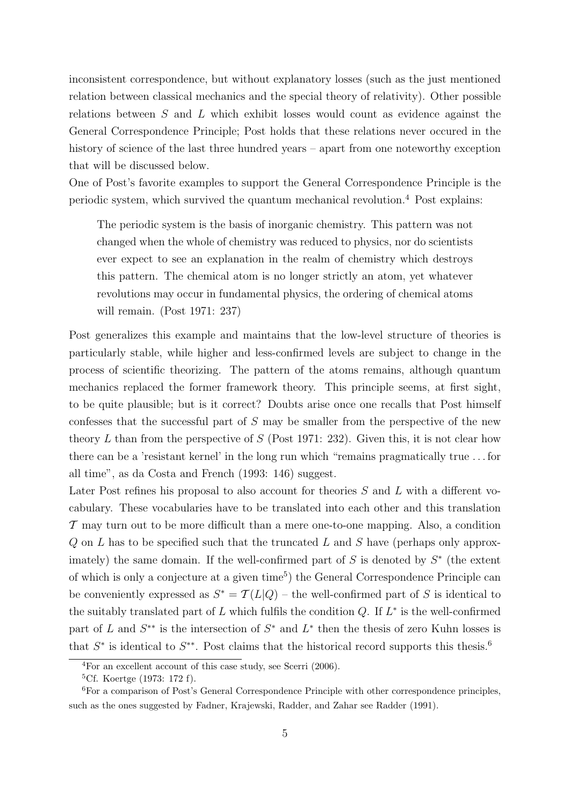inconsistent correspondence, but without explanatory losses (such as the just mentioned relation between classical mechanics and the special theory of relativity). Other possible relations between S and L which exhibit losses would count as evidence against the General Correspondence Principle; Post holds that these relations never occured in the history of science of the last three hundred years – apart from one noteworthy exception that will be discussed below.

One of Post's favorite examples to support the General Correspondence Principle is the periodic system, which survived the quantum mechanical revolution.<sup>4</sup> Post explains:

The periodic system is the basis of inorganic chemistry. This pattern was not changed when the whole of chemistry was reduced to physics, nor do scientists ever expect to see an explanation in the realm of chemistry which destroys this pattern. The chemical atom is no longer strictly an atom, yet whatever revolutions may occur in fundamental physics, the ordering of chemical atoms will remain. (Post 1971: 237)

Post generalizes this example and maintains that the low-level structure of theories is particularly stable, while higher and less-confirmed levels are subject to change in the process of scientific theorizing. The pattern of the atoms remains, although quantum mechanics replaced the former framework theory. This principle seems, at first sight, to be quite plausible; but is it correct? Doubts arise once one recalls that Post himself confesses that the successful part of S may be smaller from the perspective of the new theory L than from the perspective of  $S$  (Post 1971: 232). Given this, it is not clear how there can be a 'resistant kernel' in the long run which "remains pragmatically true . . . for all time", as da Costa and French (1993: 146) suggest.

Later Post refines his proposal to also account for theories S and L with a different vocabulary. These vocabularies have to be translated into each other and this translation  $\mathcal T$  may turn out to be more difficult than a mere one-to-one mapping. Also, a condition  $Q$  on  $L$  has to be specified such that the truncated  $L$  and  $S$  have (perhaps only approximately) the same domain. If the well-confirmed part of  $S$  is denoted by  $S^*$  (the extent of which is only a conjecture at a given time<sup>5</sup>) the General Correspondence Principle can be conveniently expressed as  $S^* = \mathcal{T}(L|Q)$  – the well-confirmed part of S is identical to the suitably translated part of  $L$  which fulfils the condition  $Q$ . If  $L^*$  is the well-confirmed part of L and  $S^{**}$  is the intersection of  $S^*$  and  $L^*$  then the thesis of zero Kuhn losses is that  $S^*$  is identical to  $S^{**}$ . Post claims that the historical record supports this thesis.<sup>6</sup>

<sup>4</sup>For an excellent account of this case study, see Scerri (2006).

<sup>&</sup>lt;sup>5</sup>Cf. Koertge (1973: 172 f).

<sup>6</sup>For a comparison of Post's General Correspondence Principle with other correspondence principles, such as the ones suggested by Fadner, Krajewski, Radder, and Zahar see Radder (1991).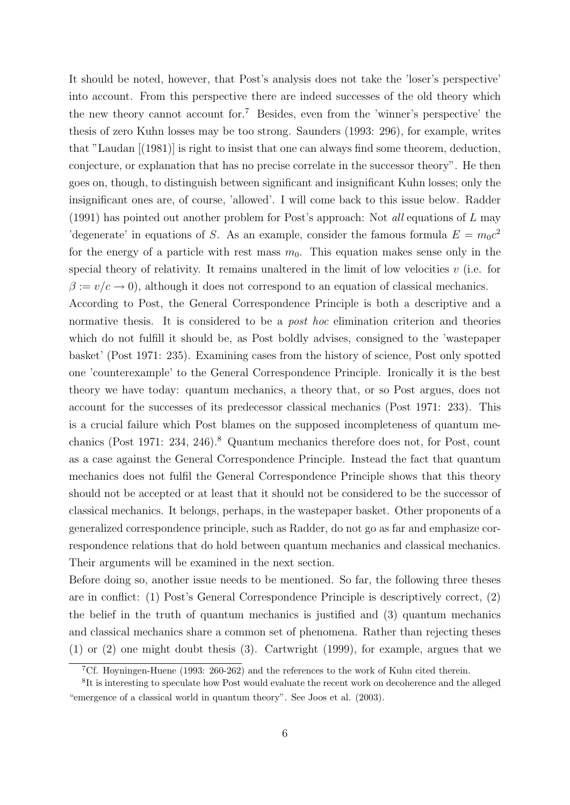It should be noted, however, that Post's analysis does not take the 'loser's perspective' into account. From this perspective there are indeed successes of the old theory which the new theory cannot account for.<sup>7</sup> Besides, even from the 'winner's perspective' the thesis of zero Kuhn losses may be too strong. Saunders (1993: 296), for example, writes that "Laudan [(1981)] is right to insist that one can always find some theorem, deduction, conjecture, or explanation that has no precise correlate in the successor theory". He then goes on, though, to distinguish between significant and insignificant Kuhn losses; only the insignificant ones are, of course, 'allowed'. I will come back to this issue below. Radder (1991) has pointed out another problem for Post's approach: Not all equations of L may 'degenerate' in equations of S. As an example, consider the famous formula  $E = m_0 c^2$ for the energy of a particle with rest mass  $m_0$ . This equation makes sense only in the special theory of relativity. It remains unaltered in the limit of low velocities  $v$  (i.e. for  $\beta := v/c \rightarrow 0$ , although it does not correspond to an equation of classical mechanics.

According to Post, the General Correspondence Principle is both a descriptive and a normative thesis. It is considered to be a *post hoc* elimination criterion and theories which do not fulfill it should be, as Post boldly advises, consigned to the 'wastepaper basket' (Post 1971: 235). Examining cases from the history of science, Post only spotted one 'counterexample' to the General Correspondence Principle. Ironically it is the best theory we have today: quantum mechanics, a theory that, or so Post argues, does not account for the successes of its predecessor classical mechanics (Post 1971: 233). This is a crucial failure which Post blames on the supposed incompleteness of quantum mechanics (Post 1971: 234, 246).<sup>8</sup> Quantum mechanics therefore does not, for Post, count as a case against the General Correspondence Principle. Instead the fact that quantum mechanics does not fulfil the General Correspondence Principle shows that this theory should not be accepted or at least that it should not be considered to be the successor of classical mechanics. It belongs, perhaps, in the wastepaper basket. Other proponents of a generalized correspondence principle, such as Radder, do not go as far and emphasize correspondence relations that do hold between quantum mechanics and classical mechanics. Their arguments will be examined in the next section.

Before doing so, another issue needs to be mentioned. So far, the following three theses are in conflict: (1) Post's General Correspondence Principle is descriptively correct, (2) the belief in the truth of quantum mechanics is justified and (3) quantum mechanics and classical mechanics share a common set of phenomena. Rather than rejecting theses (1) or (2) one might doubt thesis (3). Cartwright (1999), for example, argues that we

<sup>7</sup>Cf. Hoyningen-Huene (1993: 260-262) and the references to the work of Kuhn cited therein.

<sup>&</sup>lt;sup>8</sup>It is interesting to speculate how Post would evaluate the recent work on decoherence and the alleged "emergence of a classical world in quantum theory". See Joos et al. (2003).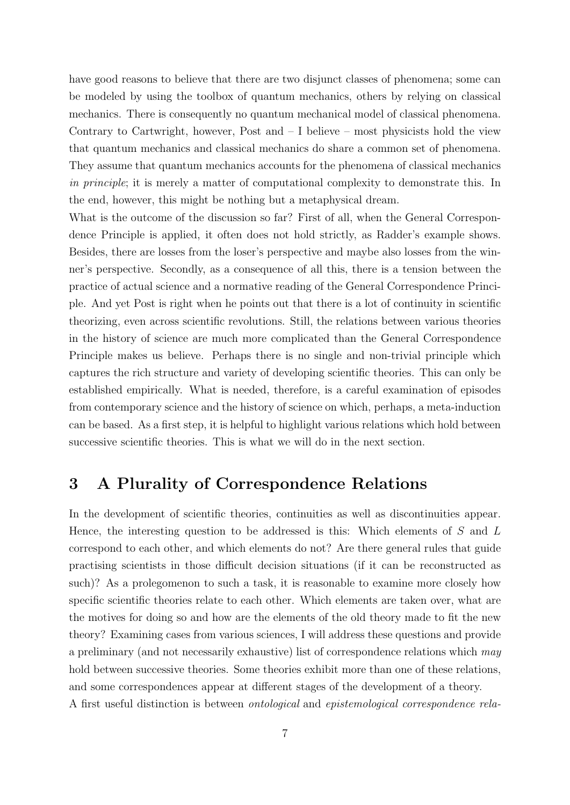have good reasons to believe that there are two disjunct classes of phenomena; some can be modeled by using the toolbox of quantum mechanics, others by relying on classical mechanics. There is consequently no quantum mechanical model of classical phenomena. Contrary to Cartwright, however, Post and  $-I$  believe – most physicists hold the view that quantum mechanics and classical mechanics do share a common set of phenomena. They assume that quantum mechanics accounts for the phenomena of classical mechanics in principle; it is merely a matter of computational complexity to demonstrate this. In the end, however, this might be nothing but a metaphysical dream.

What is the outcome of the discussion so far? First of all, when the General Correspondence Principle is applied, it often does not hold strictly, as Radder's example shows. Besides, there are losses from the loser's perspective and maybe also losses from the winner's perspective. Secondly, as a consequence of all this, there is a tension between the practice of actual science and a normative reading of the General Correspondence Principle. And yet Post is right when he points out that there is a lot of continuity in scientific theorizing, even across scientific revolutions. Still, the relations between various theories in the history of science are much more complicated than the General Correspondence Principle makes us believe. Perhaps there is no single and non-trivial principle which captures the rich structure and variety of developing scientific theories. This can only be established empirically. What is needed, therefore, is a careful examination of episodes from contemporary science and the history of science on which, perhaps, a meta-induction can be based. As a first step, it is helpful to highlight various relations which hold between successive scientific theories. This is what we will do in the next section.

### 3 A Plurality of Correspondence Relations

In the development of scientific theories, continuities as well as discontinuities appear. Hence, the interesting question to be addressed is this: Which elements of  $S$  and  $L$ correspond to each other, and which elements do not? Are there general rules that guide practising scientists in those difficult decision situations (if it can be reconstructed as such)? As a prolegomenon to such a task, it is reasonable to examine more closely how specific scientific theories relate to each other. Which elements are taken over, what are the motives for doing so and how are the elements of the old theory made to fit the new theory? Examining cases from various sciences, I will address these questions and provide a preliminary (and not necessarily exhaustive) list of correspondence relations which may hold between successive theories. Some theories exhibit more than one of these relations, and some correspondences appear at different stages of the development of a theory. A first useful distinction is between ontological and epistemological correspondence rela-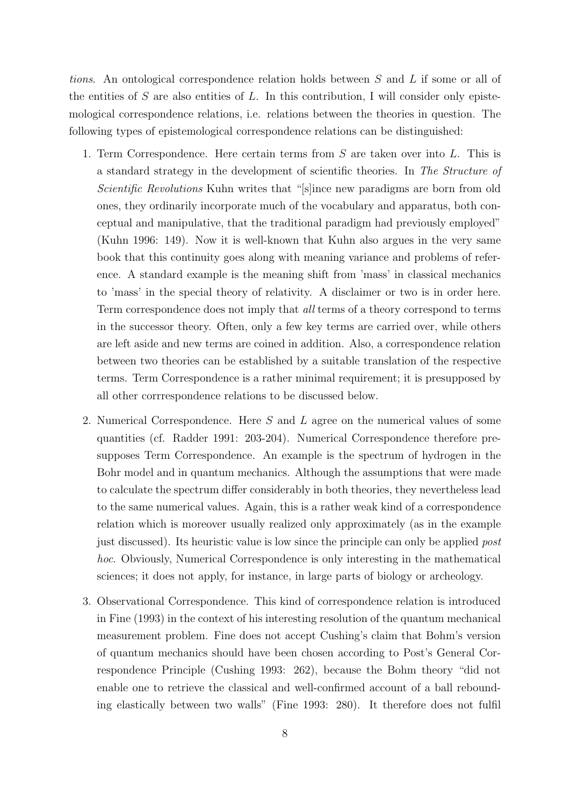tions. An ontological correspondence relation holds between S and L if some or all of the entities of  $S$  are also entities of  $L$ . In this contribution, I will consider only epistemological correspondence relations, i.e. relations between the theories in question. The following types of epistemological correspondence relations can be distinguished:

- 1. Term Correspondence. Here certain terms from  $S$  are taken over into  $L$ . This is a standard strategy in the development of scientific theories. In The Structure of Scientific Revolutions Kuhn writes that "[s]ince new paradigms are born from old ones, they ordinarily incorporate much of the vocabulary and apparatus, both conceptual and manipulative, that the traditional paradigm had previously employed" (Kuhn 1996: 149). Now it is well-known that Kuhn also argues in the very same book that this continuity goes along with meaning variance and problems of reference. A standard example is the meaning shift from 'mass' in classical mechanics to 'mass' in the special theory of relativity. A disclaimer or two is in order here. Term correspondence does not imply that all terms of a theory correspond to terms in the successor theory. Often, only a few key terms are carried over, while others are left aside and new terms are coined in addition. Also, a correspondence relation between two theories can be established by a suitable translation of the respective terms. Term Correspondence is a rather minimal requirement; it is presupposed by all other corrrespondence relations to be discussed below.
- 2. Numerical Correspondence. Here S and L agree on the numerical values of some quantities (cf. Radder 1991: 203-204). Numerical Correspondence therefore presupposes Term Correspondence. An example is the spectrum of hydrogen in the Bohr model and in quantum mechanics. Although the assumptions that were made to calculate the spectrum differ considerably in both theories, they nevertheless lead to the same numerical values. Again, this is a rather weak kind of a correspondence relation which is moreover usually realized only approximately (as in the example just discussed). Its heuristic value is low since the principle can only be applied *post* hoc. Obviously, Numerical Correspondence is only interesting in the mathematical sciences; it does not apply, for instance, in large parts of biology or archeology.
- 3. Observational Correspondence. This kind of correspondence relation is introduced in Fine (1993) in the context of his interesting resolution of the quantum mechanical measurement problem. Fine does not accept Cushing's claim that Bohm's version of quantum mechanics should have been chosen according to Post's General Correspondence Principle (Cushing 1993: 262), because the Bohm theory "did not enable one to retrieve the classical and well-confirmed account of a ball rebounding elastically between two walls" (Fine 1993: 280). It therefore does not fulfil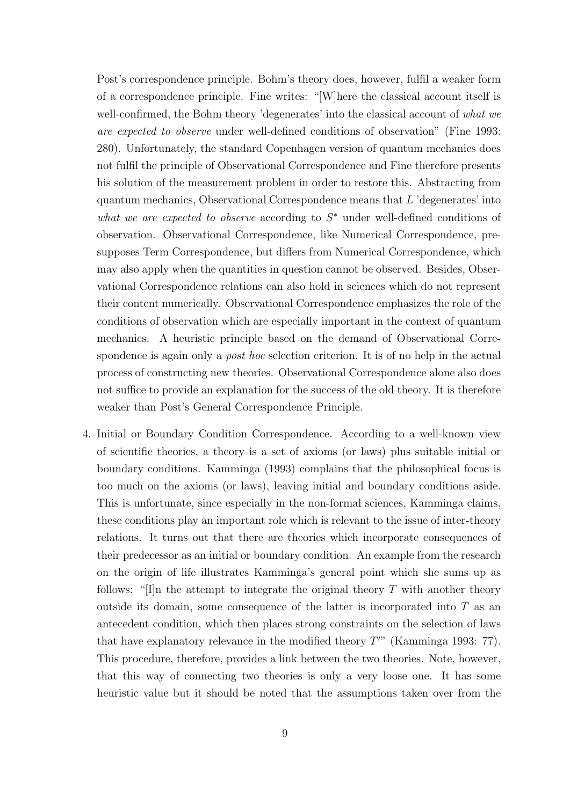Post's correspondence principle. Bohm's theory does, however, fulfil a weaker form of a correspondence principle. Fine writes: "[W]here the classical account itself is well-confirmed, the Bohm theory 'degenerates' into the classical account of what we are expected to observe under well-defined conditions of observation" (Fine 1993: 280). Unfortunately, the standard Copenhagen version of quantum mechanics does not fulfil the principle of Observational Correspondence and Fine therefore presents his solution of the measurement problem in order to restore this. Abstracting from quantum mechanics, Observational Correspondence means that  $L$  'degenerates' into what we are expected to observe according to  $S^*$  under well-defined conditions of observation. Observational Correspondence, like Numerical Correspondence, presupposes Term Correspondence, but differs from Numerical Correspondence, which may also apply when the quantities in question cannot be observed. Besides, Observational Correspondence relations can also hold in sciences which do not represent their content numerically. Observational Correspondence emphasizes the role of the conditions of observation which are especially important in the context of quantum mechanics. A heuristic principle based on the demand of Observational Correspondence is again only a *post hoc* selection criterion. It is of no help in the actual process of constructing new theories. Observational Correspondence alone also does not suffice to provide an explanation for the success of the old theory. It is therefore weaker than Post's General Correspondence Principle.

4. Initial or Boundary Condition Correspondence. According to a well-known view of scientific theories, a theory is a set of axioms (or laws) plus suitable initial or boundary conditions. Kamminga (1993) complains that the philosophical focus is too much on the axioms (or laws), leaving initial and boundary conditions aside. This is unfortunate, since especially in the non-formal sciences, Kamminga claims, these conditions play an important role which is relevant to the issue of inter-theory relations. It turns out that there are theories which incorporate consequences of their predecessor as an initial or boundary condition. An example from the research on the origin of life illustrates Kamminga's general point which she sums up as follows: "[I]n the attempt to integrate the original theory  $T$  with another theory outside its domain, some consequence of the latter is incorporated into  $T$  as an antecedent condition, which then places strong constraints on the selection of laws that have explanatory relevance in the modified theory  $T''$  (Kamminga 1993: 77). This procedure, therefore, provides a link between the two theories. Note, however, that this way of connecting two theories is only a very loose one. It has some heuristic value but it should be noted that the assumptions taken over from the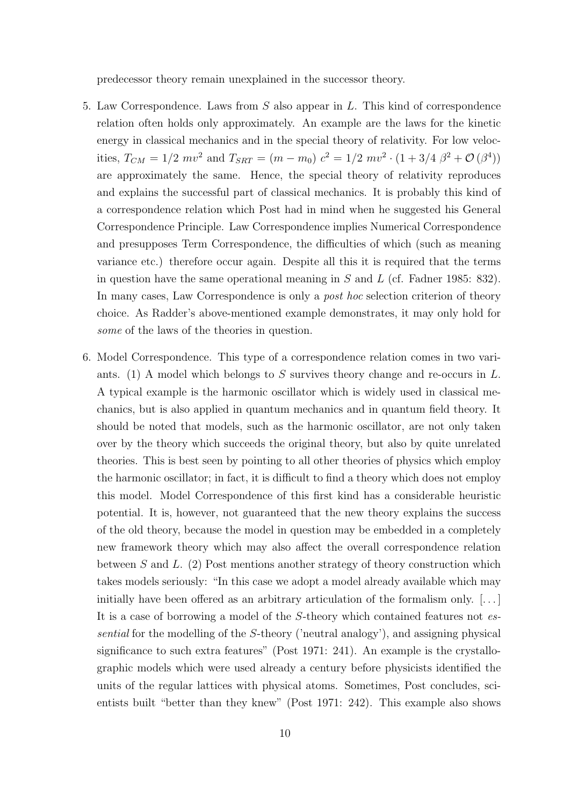predecessor theory remain unexplained in the successor theory.

- 5. Law Correspondence. Laws from S also appear in L. This kind of correspondence relation often holds only approximately. An example are the laws for the kinetic energy in classical mechanics and in the special theory of relativity. For low velocities,  $T_{CM} = 1/2 mv^2$  and  $T_{SRT} = (m - m_0) c^2 = 1/2 mv^2 \cdot (1 + 3/4 \beta^2 + \mathcal{O}(\beta^4))$ are approximately the same. Hence, the special theory of relativity reproduces and explains the successful part of classical mechanics. It is probably this kind of a correspondence relation which Post had in mind when he suggested his General Correspondence Principle. Law Correspondence implies Numerical Correspondence and presupposes Term Correspondence, the difficulties of which (such as meaning variance etc.) therefore occur again. Despite all this it is required that the terms in question have the same operational meaning in  $S$  and  $L$  (cf. Fadner 1985: 832). In many cases, Law Correspondence is only a *post hoc* selection criterion of theory choice. As Radder's above-mentioned example demonstrates, it may only hold for some of the laws of the theories in question.
- 6. Model Correspondence. This type of a correspondence relation comes in two variants. (1) A model which belongs to S survives theory change and re-occurs in L. A typical example is the harmonic oscillator which is widely used in classical mechanics, but is also applied in quantum mechanics and in quantum field theory. It should be noted that models, such as the harmonic oscillator, are not only taken over by the theory which succeeds the original theory, but also by quite unrelated theories. This is best seen by pointing to all other theories of physics which employ the harmonic oscillator; in fact, it is difficult to find a theory which does not employ this model. Model Correspondence of this first kind has a considerable heuristic potential. It is, however, not guaranteed that the new theory explains the success of the old theory, because the model in question may be embedded in a completely new framework theory which may also affect the overall correspondence relation between  $S$  and  $L.$  (2) Post mentions another strategy of theory construction which takes models seriously: "In this case we adopt a model already available which may initially have been offered as an arbitrary articulation of the formalism only. [. . . ] It is a case of borrowing a model of the S-theory which contained features not essential for the modelling of the S-theory ('neutral analogy'), and assigning physical significance to such extra features" (Post 1971: 241). An example is the crystallographic models which were used already a century before physicists identified the units of the regular lattices with physical atoms. Sometimes, Post concludes, scientists built "better than they knew" (Post 1971: 242). This example also shows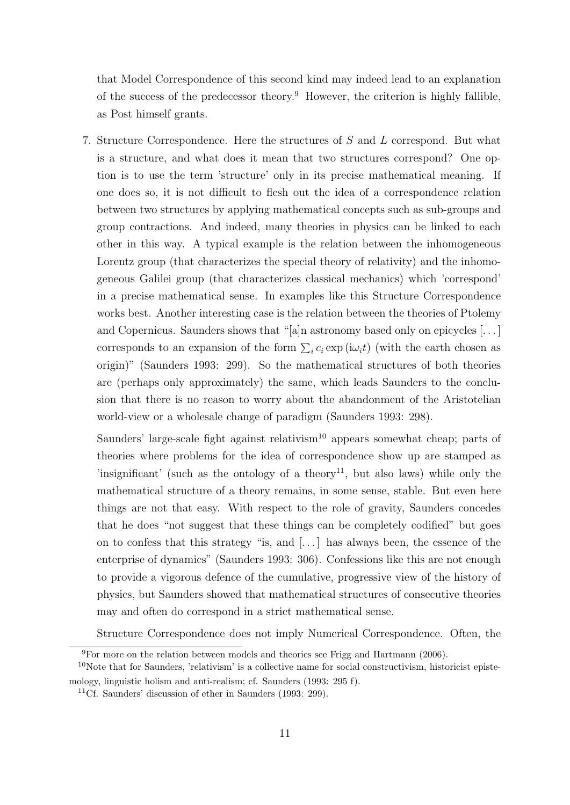that Model Correspondence of this second kind may indeed lead to an explanation of the success of the predecessor theory. $9$  However, the criterion is highly fallible, as Post himself grants.

7. Structure Correspondence. Here the structures of S and L correspond. But what is a structure, and what does it mean that two structures correspond? One option is to use the term 'structure' only in its precise mathematical meaning. If one does so, it is not difficult to flesh out the idea of a correspondence relation between two structures by applying mathematical concepts such as sub-groups and group contractions. And indeed, many theories in physics can be linked to each other in this way. A typical example is the relation between the inhomogeneous Lorentz group (that characterizes the special theory of relativity) and the inhomogeneous Galilei group (that characterizes classical mechanics) which 'correspond' in a precise mathematical sense. In examples like this Structure Correspondence works best. Another interesting case is the relation between the theories of Ptolemy and Copernicus. Saunders shows that "[a]n astronomy based only on epicycles [...] corresponds to an expansion of the form  $\sum_i c_i \exp(i\omega_i t)$  (with the earth chosen as origin)" (Saunders 1993: 299). So the mathematical structures of both theories are (perhaps only approximately) the same, which leads Saunders to the conclusion that there is no reason to worry about the abandonment of the Aristotelian world-view or a wholesale change of paradigm (Saunders 1993: 298).

Saunders' large-scale fight against relativism<sup>10</sup> appears somewhat cheap; parts of theories where problems for the idea of correspondence show up are stamped as 'insignificant' (such as the ontology of a theory<sup>11</sup>, but also laws) while only the mathematical structure of a theory remains, in some sense, stable. But even here things are not that easy. With respect to the role of gravity, Saunders concedes that he does "not suggest that these things can be completely codified" but goes on to confess that this strategy "is, and  $\left[\ldots\right]$  has always been, the essence of the enterprise of dynamics" (Saunders 1993: 306). Confessions like this are not enough to provide a vigorous defence of the cumulative, progressive view of the history of physics, but Saunders showed that mathematical structures of consecutive theories may and often do correspond in a strict mathematical sense.

Structure Correspondence does not imply Numerical Correspondence. Often, the

<sup>9</sup>For more on the relation between models and theories see Frigg and Hartmann (2006).

 $10$ Note that for Saunders, 'relativism' is a collective name for social constructivism, historicist epistemology, linguistic holism and anti-realism; cf. Saunders (1993: 295 f).

<sup>&</sup>lt;sup>11</sup>Cf. Saunders' discussion of ether in Saunders  $(1993: 299)$ .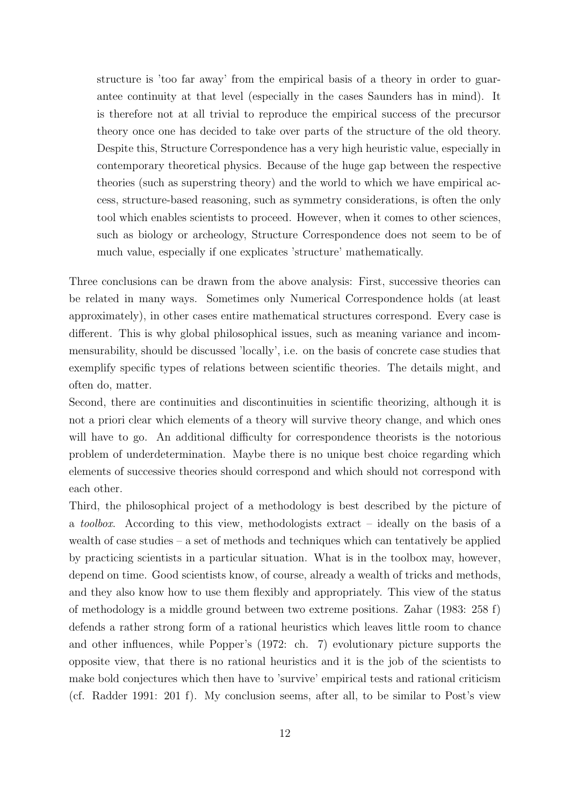structure is 'too far away' from the empirical basis of a theory in order to guarantee continuity at that level (especially in the cases Saunders has in mind). It is therefore not at all trivial to reproduce the empirical success of the precursor theory once one has decided to take over parts of the structure of the old theory. Despite this, Structure Correspondence has a very high heuristic value, especially in contemporary theoretical physics. Because of the huge gap between the respective theories (such as superstring theory) and the world to which we have empirical access, structure-based reasoning, such as symmetry considerations, is often the only tool which enables scientists to proceed. However, when it comes to other sciences, such as biology or archeology, Structure Correspondence does not seem to be of much value, especially if one explicates 'structure' mathematically.

Three conclusions can be drawn from the above analysis: First, successive theories can be related in many ways. Sometimes only Numerical Correspondence holds (at least approximately), in other cases entire mathematical structures correspond. Every case is different. This is why global philosophical issues, such as meaning variance and incommensurability, should be discussed 'locally', i.e. on the basis of concrete case studies that exemplify specific types of relations between scientific theories. The details might, and often do, matter.

Second, there are continuities and discontinuities in scientific theorizing, although it is not a priori clear which elements of a theory will survive theory change, and which ones will have to go. An additional difficulty for correspondence theorists is the notorious problem of underdetermination. Maybe there is no unique best choice regarding which elements of successive theories should correspond and which should not correspond with each other.

Third, the philosophical project of a methodology is best described by the picture of a toolbox. According to this view, methodologists extract – ideally on the basis of a wealth of case studies – a set of methods and techniques which can tentatively be applied by practicing scientists in a particular situation. What is in the toolbox may, however, depend on time. Good scientists know, of course, already a wealth of tricks and methods, and they also know how to use them flexibly and appropriately. This view of the status of methodology is a middle ground between two extreme positions. Zahar (1983: 258 f) defends a rather strong form of a rational heuristics which leaves little room to chance and other influences, while Popper's (1972: ch. 7) evolutionary picture supports the opposite view, that there is no rational heuristics and it is the job of the scientists to make bold conjectures which then have to 'survive' empirical tests and rational criticism (cf. Radder 1991: 201 f). My conclusion seems, after all, to be similar to Post's view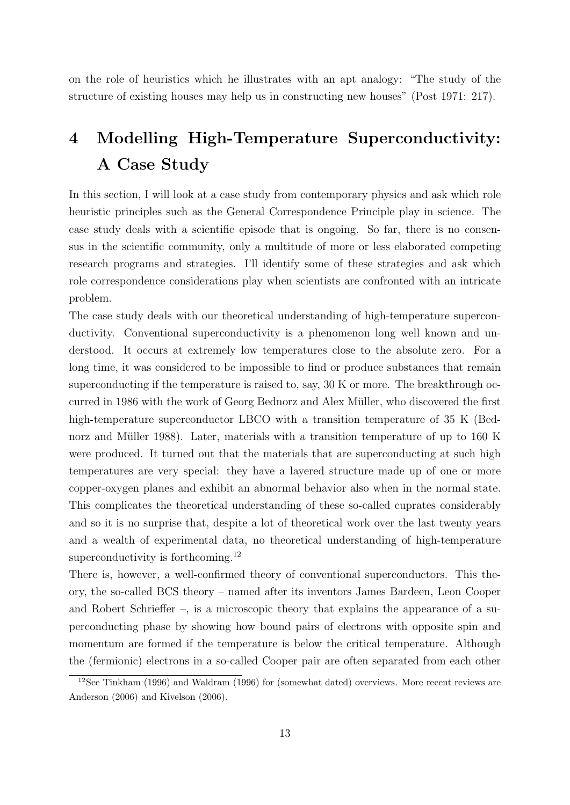on the role of heuristics which he illustrates with an apt analogy: "The study of the structure of existing houses may help us in constructing new houses" (Post 1971: 217).

## 4 Modelling High-Temperature Superconductivity: A Case Study

In this section, I will look at a case study from contemporary physics and ask which role heuristic principles such as the General Correspondence Principle play in science. The case study deals with a scientific episode that is ongoing. So far, there is no consensus in the scientific community, only a multitude of more or less elaborated competing research programs and strategies. I'll identify some of these strategies and ask which role correspondence considerations play when scientists are confronted with an intricate problem.

The case study deals with our theoretical understanding of high-temperature superconductivity. Conventional superconductivity is a phenomenon long well known and understood. It occurs at extremely low temperatures close to the absolute zero. For a long time, it was considered to be impossible to find or produce substances that remain superconducting if the temperature is raised to, say, 30 K or more. The breakthrough occurred in 1986 with the work of Georg Bednorz and Alex Müller, who discovered the first high-temperature superconductor LBCO with a transition temperature of 35 K (Bednorz and Müller 1988). Later, materials with a transition temperature of up to  $160 \text{ K}$ were produced. It turned out that the materials that are superconducting at such high temperatures are very special: they have a layered structure made up of one or more copper-oxygen planes and exhibit an abnormal behavior also when in the normal state. This complicates the theoretical understanding of these so-called cuprates considerably and so it is no surprise that, despite a lot of theoretical work over the last twenty years and a wealth of experimental data, no theoretical understanding of high-temperature superconductivity is forthcoming.<sup>12</sup>

There is, however, a well-confirmed theory of conventional superconductors. This theory, the so-called BCS theory – named after its inventors James Bardeen, Leon Cooper and Robert Schrieffer –, is a microscopic theory that explains the appearance of a superconducting phase by showing how bound pairs of electrons with opposite spin and momentum are formed if the temperature is below the critical temperature. Although the (fermionic) electrons in a so-called Cooper pair are often separated from each other

<sup>12</sup>See Tinkham (1996) and Waldram (1996) for (somewhat dated) overviews. More recent reviews are Anderson (2006) and Kivelson (2006).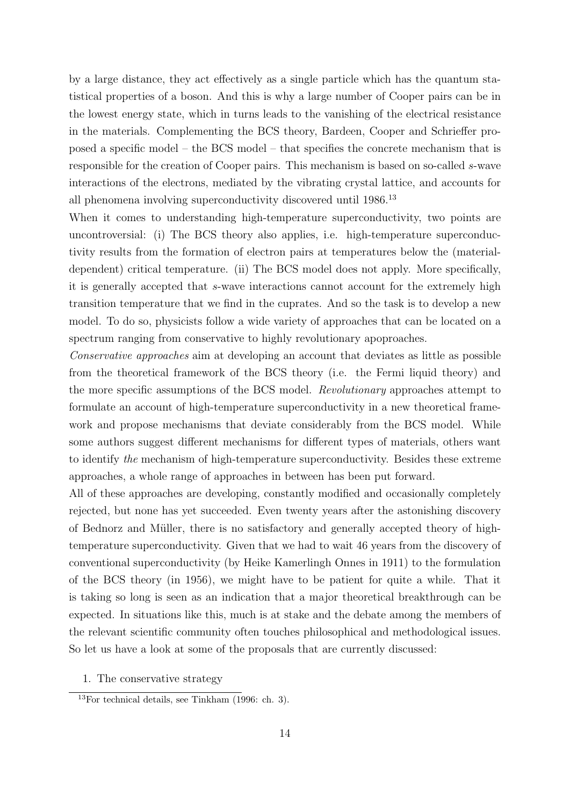by a large distance, they act effectively as a single particle which has the quantum statistical properties of a boson. And this is why a large number of Cooper pairs can be in the lowest energy state, which in turns leads to the vanishing of the electrical resistance in the materials. Complementing the BCS theory, Bardeen, Cooper and Schrieffer proposed a specific model – the BCS model – that specifies the concrete mechanism that is responsible for the creation of Cooper pairs. This mechanism is based on so-called s-wave interactions of the electrons, mediated by the vibrating crystal lattice, and accounts for all phenomena involving superconductivity discovered until 1986.<sup>13</sup>

When it comes to understanding high-temperature superconductivity, two points are uncontroversial: (i) The BCS theory also applies, i.e. high-temperature superconductivity results from the formation of electron pairs at temperatures below the (materialdependent) critical temperature. (ii) The BCS model does not apply. More specifically, it is generally accepted that s-wave interactions cannot account for the extremely high transition temperature that we find in the cuprates. And so the task is to develop a new model. To do so, physicists follow a wide variety of approaches that can be located on a spectrum ranging from conservative to highly revolutionary apoproaches.

Conservative approaches aim at developing an account that deviates as little as possible from the theoretical framework of the BCS theory (i.e. the Fermi liquid theory) and the more specific assumptions of the BCS model. Revolutionary approaches attempt to formulate an account of high-temperature superconductivity in a new theoretical framework and propose mechanisms that deviate considerably from the BCS model. While some authors suggest different mechanisms for different types of materials, others want to identify the mechanism of high-temperature superconductivity. Besides these extreme approaches, a whole range of approaches in between has been put forward.

All of these approaches are developing, constantly modified and occasionally completely rejected, but none has yet succeeded. Even twenty years after the astonishing discovery of Bednorz and M¨uller, there is no satisfactory and generally accepted theory of hightemperature superconductivity. Given that we had to wait 46 years from the discovery of conventional superconductivity (by Heike Kamerlingh Onnes in 1911) to the formulation of the BCS theory (in 1956), we might have to be patient for quite a while. That it is taking so long is seen as an indication that a major theoretical breakthrough can be expected. In situations like this, much is at stake and the debate among the members of the relevant scientific community often touches philosophical and methodological issues. So let us have a look at some of the proposals that are currently discussed:

1. The conservative strategy

 $13$ For technical details, see Tinkham (1996: ch. 3).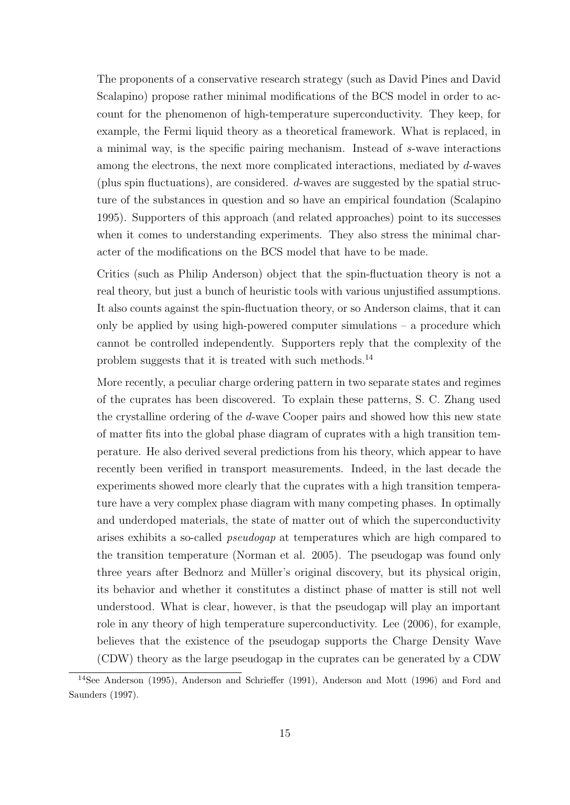The proponents of a conservative research strategy (such as David Pines and David Scalapino) propose rather minimal modifications of the BCS model in order to account for the phenomenon of high-temperature superconductivity. They keep, for example, the Fermi liquid theory as a theoretical framework. What is replaced, in a minimal way, is the specific pairing mechanism. Instead of s-wave interactions among the electrons, the next more complicated interactions, mediated by d-waves (plus spin fluctuations), are considered. d-waves are suggested by the spatial structure of the substances in question and so have an empirical foundation (Scalapino 1995). Supporters of this approach (and related approaches) point to its successes when it comes to understanding experiments. They also stress the minimal character of the modifications on the BCS model that have to be made.

Critics (such as Philip Anderson) object that the spin-fluctuation theory is not a real theory, but just a bunch of heuristic tools with various unjustified assumptions. It also counts against the spin-fluctuation theory, or so Anderson claims, that it can only be applied by using high-powered computer simulations – a procedure which cannot be controlled independently. Supporters reply that the complexity of the problem suggests that it is treated with such methods.<sup>14</sup>

More recently, a peculiar charge ordering pattern in two separate states and regimes of the cuprates has been discovered. To explain these patterns, S. C. Zhang used the crystalline ordering of the d-wave Cooper pairs and showed how this new state of matter fits into the global phase diagram of cuprates with a high transition temperature. He also derived several predictions from his theory, which appear to have recently been verified in transport measurements. Indeed, in the last decade the experiments showed more clearly that the cuprates with a high transition temperature have a very complex phase diagram with many competing phases. In optimally and underdoped materials, the state of matter out of which the superconductivity arises exhibits a so-called pseudogap at temperatures which are high compared to the transition temperature (Norman et al. 2005). The pseudogap was found only three years after Bednorz and Müller's original discovery, but its physical origin, its behavior and whether it constitutes a distinct phase of matter is still not well understood. What is clear, however, is that the pseudogap will play an important role in any theory of high temperature superconductivity. Lee (2006), for example, believes that the existence of the pseudogap supports the Charge Density Wave (CDW) theory as the large pseudogap in the cuprates can be generated by a CDW

<sup>14</sup>See Anderson (1995), Anderson and Schrieffer (1991), Anderson and Mott (1996) and Ford and Saunders (1997).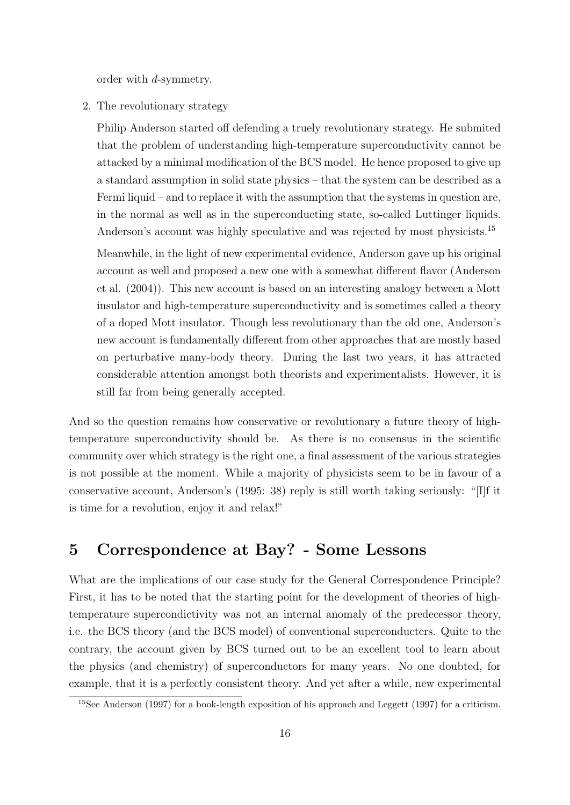order with d-symmetry.

2. The revolutionary strategy

Philip Anderson started off defending a truely revolutionary strategy. He submited that the problem of understanding high-temperature superconductivity cannot be attacked by a minimal modification of the BCS model. He hence proposed to give up a standard assumption in solid state physics – that the system can be described as a Fermi liquid – and to replace it with the assumption that the systems in question are, in the normal as well as in the superconducting state, so-called Luttinger liquids. Anderson's account was highly speculative and was rejected by most physicists.<sup>15</sup>

Meanwhile, in the light of new experimental evidence, Anderson gave up his original account as well and proposed a new one with a somewhat different flavor (Anderson et al. (2004)). This new account is based on an interesting analogy between a Mott insulator and high-temperature superconductivity and is sometimes called a theory of a doped Mott insulator. Though less revolutionary than the old one, Anderson's new account is fundamentally different from other approaches that are mostly based on perturbative many-body theory. During the last two years, it has attracted considerable attention amongst both theorists and experimentalists. However, it is still far from being generally accepted.

And so the question remains how conservative or revolutionary a future theory of hightemperature superconductivity should be. As there is no consensus in the scientific community over which strategy is the right one, a final assessment of the various strategies is not possible at the moment. While a majority of physicists seem to be in favour of a conservative account, Anderson's (1995: 38) reply is still worth taking seriously: "[I]f it is time for a revolution, enjoy it and relax!"

### 5 Correspondence at Bay? - Some Lessons

What are the implications of our case study for the General Correspondence Principle? First, it has to be noted that the starting point for the development of theories of hightemperature supercondictivity was not an internal anomaly of the predecessor theory, i.e. the BCS theory (and the BCS model) of conventional superconducters. Quite to the contrary, the account given by BCS turned out to be an excellent tool to learn about the physics (and chemistry) of superconductors for many years. No one doubted, for example, that it is a perfectly consistent theory. And yet after a while, new experimental

<sup>15</sup>See Anderson (1997) for a book-length exposition of his approach and Leggett (1997) for a criticism.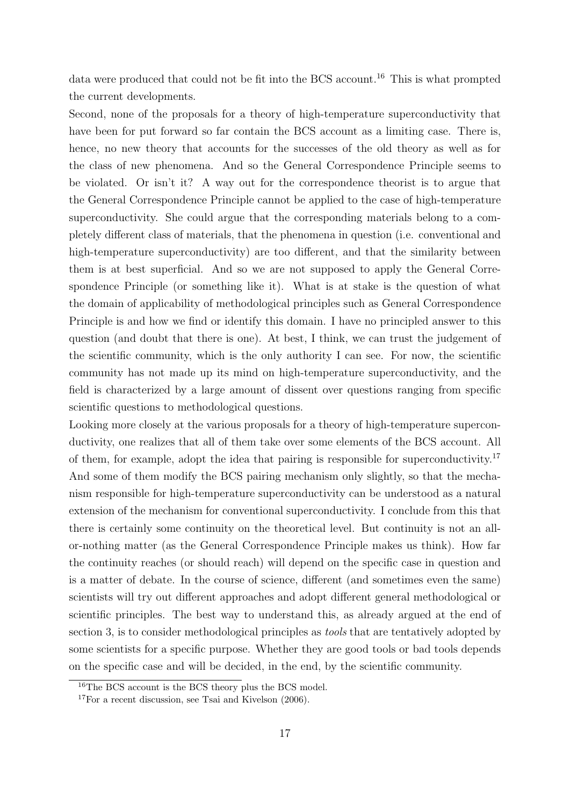data were produced that could not be fit into the BCS account.<sup>16</sup> This is what prompted the current developments.

Second, none of the proposals for a theory of high-temperature superconductivity that have been for put forward so far contain the BCS account as a limiting case. There is, hence, no new theory that accounts for the successes of the old theory as well as for the class of new phenomena. And so the General Correspondence Principle seems to be violated. Or isn't it? A way out for the correspondence theorist is to argue that the General Correspondence Principle cannot be applied to the case of high-temperature superconductivity. She could argue that the corresponding materials belong to a completely different class of materials, that the phenomena in question (i.e. conventional and high-temperature superconductivity) are too different, and that the similarity between them is at best superficial. And so we are not supposed to apply the General Correspondence Principle (or something like it). What is at stake is the question of what the domain of applicability of methodological principles such as General Correspondence Principle is and how we find or identify this domain. I have no principled answer to this question (and doubt that there is one). At best, I think, we can trust the judgement of the scientific community, which is the only authority I can see. For now, the scientific community has not made up its mind on high-temperature superconductivity, and the field is characterized by a large amount of dissent over questions ranging from specific scientific questions to methodological questions.

Looking more closely at the various proposals for a theory of high-temperature superconductivity, one realizes that all of them take over some elements of the BCS account. All of them, for example, adopt the idea that pairing is responsible for superconductivity.<sup>17</sup> And some of them modify the BCS pairing mechanism only slightly, so that the mechanism responsible for high-temperature superconductivity can be understood as a natural extension of the mechanism for conventional superconductivity. I conclude from this that there is certainly some continuity on the theoretical level. But continuity is not an allor-nothing matter (as the General Correspondence Principle makes us think). How far the continuity reaches (or should reach) will depend on the specific case in question and is a matter of debate. In the course of science, different (and sometimes even the same) scientists will try out different approaches and adopt different general methodological or scientific principles. The best way to understand this, as already argued at the end of section 3, is to consider methodological principles as tools that are tentatively adopted by some scientists for a specific purpose. Whether they are good tools or bad tools depends on the specific case and will be decided, in the end, by the scientific community.

<sup>&</sup>lt;sup>16</sup>The BCS account is the BCS theory plus the BCS model.

<sup>&</sup>lt;sup>17</sup>For a recent discussion, see Tsai and Kivelson (2006).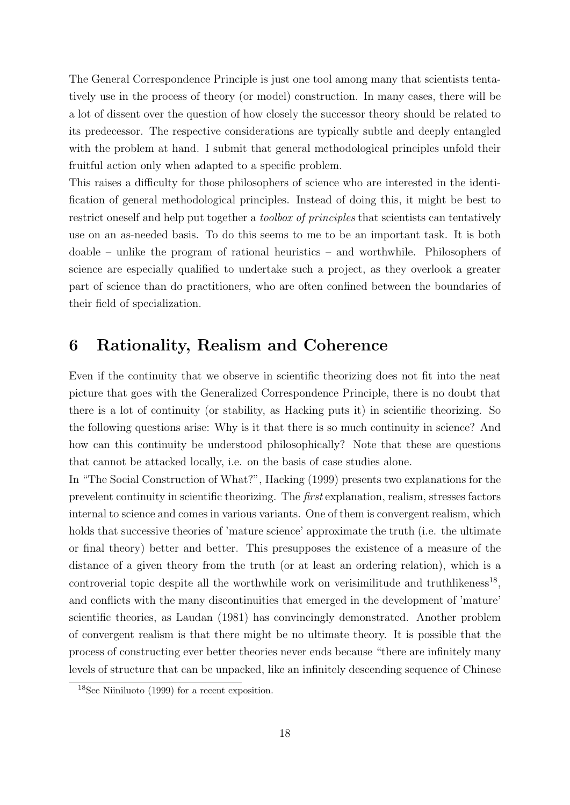The General Correspondence Principle is just one tool among many that scientists tentatively use in the process of theory (or model) construction. In many cases, there will be a lot of dissent over the question of how closely the successor theory should be related to its predecessor. The respective considerations are typically subtle and deeply entangled with the problem at hand. I submit that general methodological principles unfold their fruitful action only when adapted to a specific problem.

This raises a difficulty for those philosophers of science who are interested in the identification of general methodological principles. Instead of doing this, it might be best to restrict oneself and help put together a *toolbox of principles* that scientists can tentatively use on an as-needed basis. To do this seems to me to be an important task. It is both doable – unlike the program of rational heuristics – and worthwhile. Philosophers of science are especially qualified to undertake such a project, as they overlook a greater part of science than do practitioners, who are often confined between the boundaries of their field of specialization.

### 6 Rationality, Realism and Coherence

Even if the continuity that we observe in scientific theorizing does not fit into the neat picture that goes with the Generalized Correspondence Principle, there is no doubt that there is a lot of continuity (or stability, as Hacking puts it) in scientific theorizing. So the following questions arise: Why is it that there is so much continuity in science? And how can this continuity be understood philosophically? Note that these are questions that cannot be attacked locally, i.e. on the basis of case studies alone.

In "The Social Construction of What?", Hacking (1999) presents two explanations for the prevelent continuity in scientific theorizing. The first explanation, realism, stresses factors internal to science and comes in various variants. One of them is convergent realism, which holds that successive theories of 'mature science' approximate the truth (i.e. the ultimate or final theory) better and better. This presupposes the existence of a measure of the distance of a given theory from the truth (or at least an ordering relation), which is a controverial topic despite all the worthwhile work on verisimilitude and truthlikeness<sup>18</sup>, and conflicts with the many discontinuities that emerged in the development of 'mature' scientific theories, as Laudan (1981) has convincingly demonstrated. Another problem of convergent realism is that there might be no ultimate theory. It is possible that the process of constructing ever better theories never ends because "there are infinitely many levels of structure that can be unpacked, like an infinitely descending sequence of Chinese

<sup>18</sup>See Niiniluoto (1999) for a recent exposition.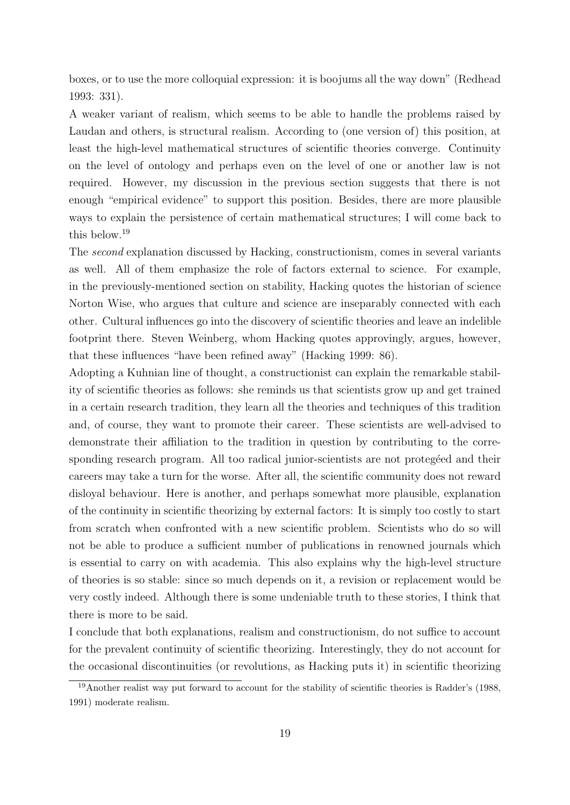boxes, or to use the more colloquial expression: it is boojums all the way down" (Redhead 1993: 331).

A weaker variant of realism, which seems to be able to handle the problems raised by Laudan and others, is structural realism. According to (one version of) this position, at least the high-level mathematical structures of scientific theories converge. Continuity on the level of ontology and perhaps even on the level of one or another law is not required. However, my discussion in the previous section suggests that there is not enough "empirical evidence" to support this position. Besides, there are more plausible ways to explain the persistence of certain mathematical structures; I will come back to this below.<sup>19</sup>

The second explanation discussed by Hacking, constructionism, comes in several variants as well. All of them emphasize the role of factors external to science. For example, in the previously-mentioned section on stability, Hacking quotes the historian of science Norton Wise, who argues that culture and science are inseparably connected with each other. Cultural influences go into the discovery of scientific theories and leave an indelible footprint there. Steven Weinberg, whom Hacking quotes approvingly, argues, however, that these influences "have been refined away" (Hacking 1999: 86).

Adopting a Kuhnian line of thought, a constructionist can explain the remarkable stability of scientific theories as follows: she reminds us that scientists grow up and get trained in a certain research tradition, they learn all the theories and techniques of this tradition and, of course, they want to promote their career. These scientists are well-advised to demonstrate their affiliation to the tradition in question by contributing to the corresponding research program. All too radical junior-scientists are not protegéed and their careers may take a turn for the worse. After all, the scientific community does not reward disloyal behaviour. Here is another, and perhaps somewhat more plausible, explanation of the continuity in scientific theorizing by external factors: It is simply too costly to start from scratch when confronted with a new scientific problem. Scientists who do so will not be able to produce a sufficient number of publications in renowned journals which is essential to carry on with academia. This also explains why the high-level structure of theories is so stable: since so much depends on it, a revision or replacement would be very costly indeed. Although there is some undeniable truth to these stories, I think that there is more to be said.

I conclude that both explanations, realism and constructionism, do not suffice to account for the prevalent continuity of scientific theorizing. Interestingly, they do not account for the occasional discontinuities (or revolutions, as Hacking puts it) in scientific theorizing

<sup>&</sup>lt;sup>19</sup>Another realist way put forward to account for the stability of scientific theories is Radder's (1988, 1991) moderate realism.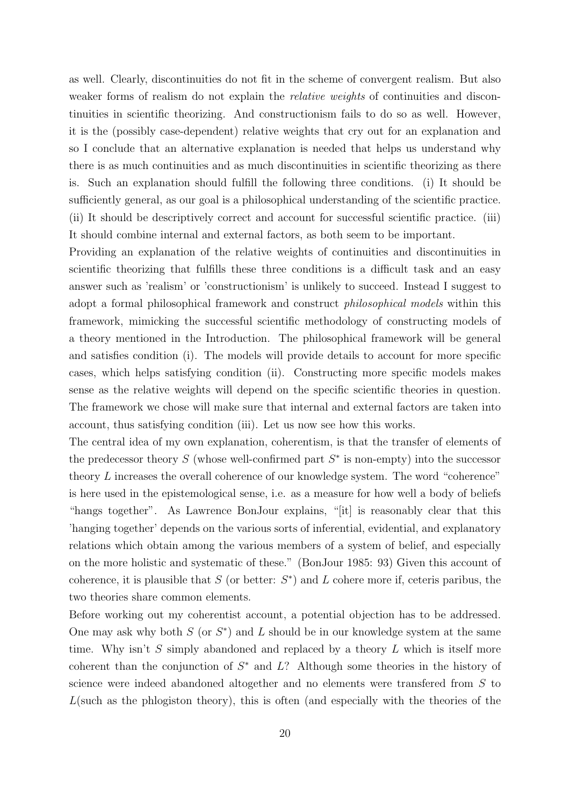as well. Clearly, discontinuities do not fit in the scheme of convergent realism. But also weaker forms of realism do not explain the *relative weights* of continuities and discontinuities in scientific theorizing. And constructionism fails to do so as well. However, it is the (possibly case-dependent) relative weights that cry out for an explanation and so I conclude that an alternative explanation is needed that helps us understand why there is as much continuities and as much discontinuities in scientific theorizing as there is. Such an explanation should fulfill the following three conditions. (i) It should be sufficiently general, as our goal is a philosophical understanding of the scientific practice. (ii) It should be descriptively correct and account for successful scientific practice. (iii) It should combine internal and external factors, as both seem to be important.

Providing an explanation of the relative weights of continuities and discontinuities in scientific theorizing that fulfills these three conditions is a difficult task and an easy answer such as 'realism' or 'constructionism' is unlikely to succeed. Instead I suggest to adopt a formal philosophical framework and construct philosophical models within this framework, mimicking the successful scientific methodology of constructing models of a theory mentioned in the Introduction. The philosophical framework will be general and satisfies condition (i). The models will provide details to account for more specific cases, which helps satisfying condition (ii). Constructing more specific models makes sense as the relative weights will depend on the specific scientific theories in question. The framework we chose will make sure that internal and external factors are taken into account, thus satisfying condition (iii). Let us now see how this works.

The central idea of my own explanation, coherentism, is that the transfer of elements of the predecessor theory  $S$  (whose well-confirmed part  $S^*$  is non-empty) into the successor theory L increases the overall coherence of our knowledge system. The word "coherence" is here used in the epistemological sense, i.e. as a measure for how well a body of beliefs "hangs together". As Lawrence BonJour explains, "[it] is reasonably clear that this 'hanging together' depends on the various sorts of inferential, evidential, and explanatory relations which obtain among the various members of a system of belief, and especially on the more holistic and systematic of these." (BonJour 1985: 93) Given this account of coherence, it is plausible that  $S$  (or better:  $S^*$ ) and  $L$  cohere more if, ceteris paribus, the two theories share common elements.

Before working out my coherentist account, a potential objection has to be addressed. One may ask why both  $S$  (or  $S^*$ ) and  $L$  should be in our knowledge system at the same time. Why isn't  $S$  simply abandoned and replaced by a theory  $L$  which is itself more coherent than the conjunction of  $S^*$  and  $L$ ? Although some theories in the history of science were indeed abandoned altogether and no elements were transfered from S to  $L$ (such as the phlogiston theory), this is often (and especially with the theories of the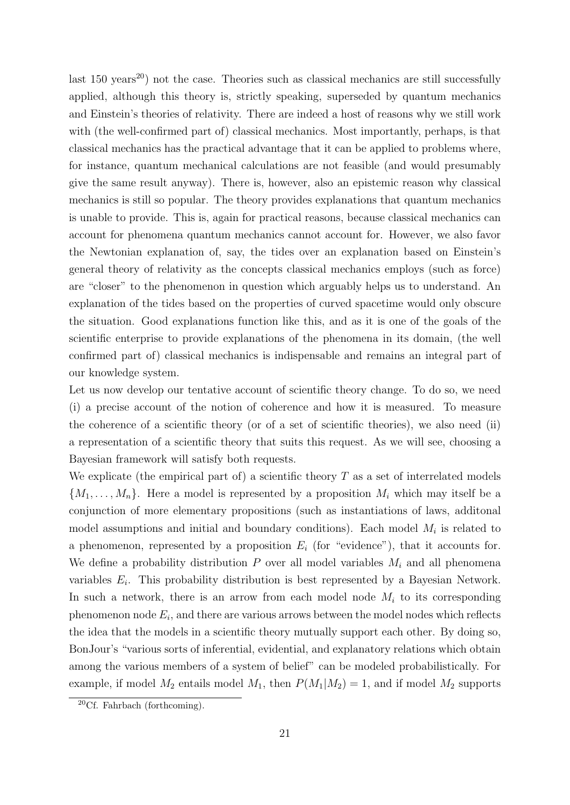last  $150 \text{ years}^{20}$ ) not the case. Theories such as classical mechanics are still successfully applied, although this theory is, strictly speaking, superseded by quantum mechanics and Einstein's theories of relativity. There are indeed a host of reasons why we still work with (the well-confirmed part of) classical mechanics. Most importantly, perhaps, is that classical mechanics has the practical advantage that it can be applied to problems where, for instance, quantum mechanical calculations are not feasible (and would presumably give the same result anyway). There is, however, also an epistemic reason why classical mechanics is still so popular. The theory provides explanations that quantum mechanics is unable to provide. This is, again for practical reasons, because classical mechanics can account for phenomena quantum mechanics cannot account for. However, we also favor the Newtonian explanation of, say, the tides over an explanation based on Einstein's general theory of relativity as the concepts classical mechanics employs (such as force) are "closer" to the phenomenon in question which arguably helps us to understand. An explanation of the tides based on the properties of curved spacetime would only obscure the situation. Good explanations function like this, and as it is one of the goals of the scientific enterprise to provide explanations of the phenomena in its domain, (the well confirmed part of) classical mechanics is indispensable and remains an integral part of our knowledge system.

Let us now develop our tentative account of scientific theory change. To do so, we need (i) a precise account of the notion of coherence and how it is measured. To measure the coherence of a scientific theory (or of a set of scientific theories), we also need (ii) a representation of a scientific theory that suits this request. As we will see, choosing a Bayesian framework will satisfy both requests.

We explicate (the empirical part of) a scientific theory  $T$  as a set of interrelated models  $\{M_1, \ldots, M_n\}$ . Here a model is represented by a proposition  $M_i$  which may itself be a conjunction of more elementary propositions (such as instantiations of laws, additonal model assumptions and initial and boundary conditions). Each model  $M_i$  is related to a phenomenon, represented by a proposition  $E_i$  (for "evidence"), that it accounts for. We define a probability distribution P over all model variables  $M_i$  and all phenomena variables  $E_i$ . This probability distribution is best represented by a Bayesian Network. In such a network, there is an arrow from each model node  $M_i$  to its corresponding phenomenon node  $E_i$ , and there are various arrows between the model nodes which reflects the idea that the models in a scientific theory mutually support each other. By doing so, BonJour's "various sorts of inferential, evidential, and explanatory relations which obtain among the various members of a system of belief" can be modeled probabilistically. For example, if model  $M_2$  entails model  $M_1$ , then  $P(M_1|M_2) = 1$ , and if model  $M_2$  supports

 $20C$ f. Fahrbach (forthcoming).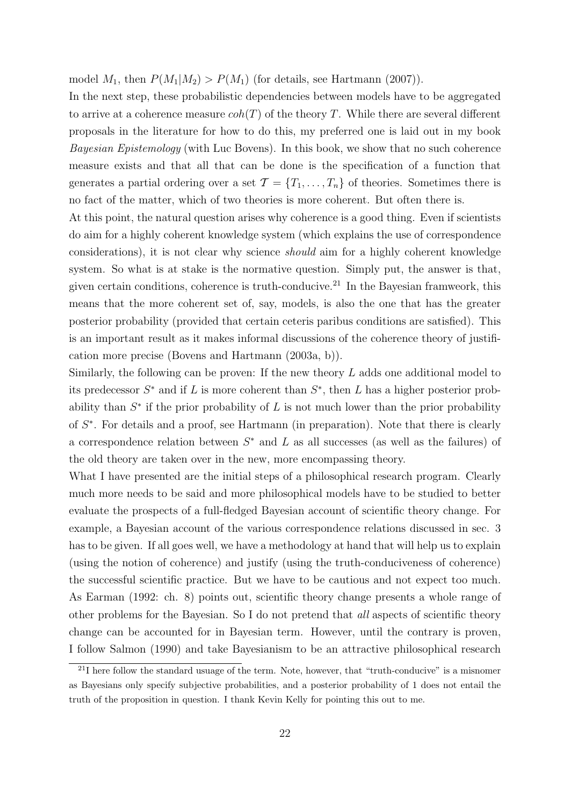model  $M_1$ , then  $P(M_1|M_2) > P(M_1)$  (for details, see Hartmann (2007)).

In the next step, these probabilistic dependencies between models have to be aggregated to arrive at a coherence measure  $coh(T)$  of the theory T. While there are several different proposals in the literature for how to do this, my preferred one is laid out in my book Bayesian Epistemology (with Luc Bovens). In this book, we show that no such coherence measure exists and that all that can be done is the specification of a function that generates a partial ordering over a set  $\mathcal{T} = \{T_1, \ldots, T_n\}$  of theories. Sometimes there is no fact of the matter, which of two theories is more coherent. But often there is.

At this point, the natural question arises why coherence is a good thing. Even if scientists do aim for a highly coherent knowledge system (which explains the use of correspondence considerations), it is not clear why science should aim for a highly coherent knowledge system. So what is at stake is the normative question. Simply put, the answer is that, given certain conditions, coherence is truth-conducive.<sup>21</sup> In the Bayesian framweork, this means that the more coherent set of, say, models, is also the one that has the greater posterior probability (provided that certain ceteris paribus conditions are satisfied). This is an important result as it makes informal discussions of the coherence theory of justification more precise (Bovens and Hartmann (2003a, b)).

Similarly, the following can be proven: If the new theory  $L$  adds one additional model to its predecessor  $S^*$  and if L is more coherent than  $S^*$ , then L has a higher posterior probability than  $S^*$  if the prior probability of L is not much lower than the prior probability of  $S^*$ . For details and a proof, see Hartmann (in preparation). Note that there is clearly a correspondence relation between  $S^*$  and L as all successes (as well as the failures) of the old theory are taken over in the new, more encompassing theory.

What I have presented are the initial steps of a philosophical research program. Clearly much more needs to be said and more philosophical models have to be studied to better evaluate the prospects of a full-fledged Bayesian account of scientific theory change. For example, a Bayesian account of the various correspondence relations discussed in sec. 3 has to be given. If all goes well, we have a methodology at hand that will help us to explain (using the notion of coherence) and justify (using the truth-conduciveness of coherence) the successful scientific practice. But we have to be cautious and not expect too much. As Earman (1992: ch. 8) points out, scientific theory change presents a whole range of other problems for the Bayesian. So I do not pretend that all aspects of scientific theory change can be accounted for in Bayesian term. However, until the contrary is proven, I follow Salmon (1990) and take Bayesianism to be an attractive philosophical research

 $^{21}$ I here follow the standard usuage of the term. Note, however, that "truth-conducive" is a misnomer as Bayesians only specify subjective probabilities, and a posterior probability of 1 does not entail the truth of the proposition in question. I thank Kevin Kelly for pointing this out to me.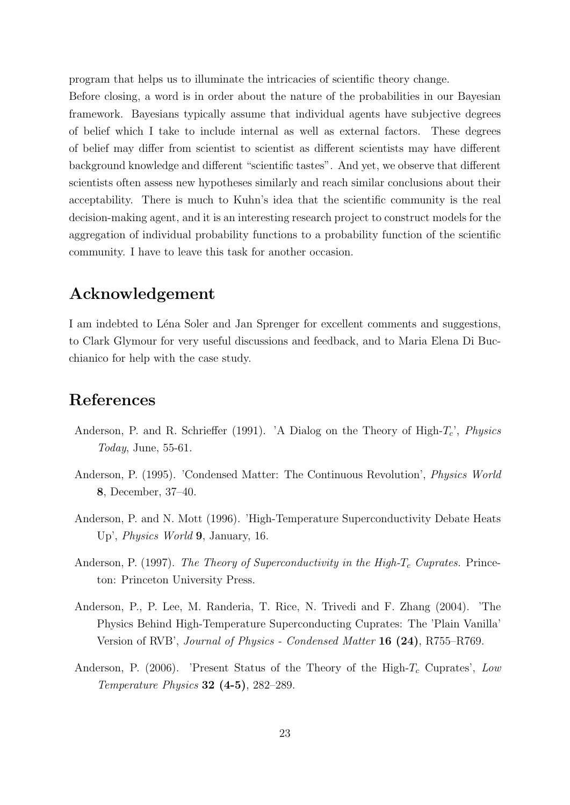program that helps us to illuminate the intricacies of scientific theory change.

Before closing, a word is in order about the nature of the probabilities in our Bayesian framework. Bayesians typically assume that individual agents have subjective degrees of belief which I take to include internal as well as external factors. These degrees of belief may differ from scientist to scientist as different scientists may have different background knowledge and different "scientific tastes". And yet, we observe that different scientists often assess new hypotheses similarly and reach similar conclusions about their acceptability. There is much to Kuhn's idea that the scientific community is the real decision-making agent, and it is an interesting research project to construct models for the aggregation of individual probability functions to a probability function of the scientific community. I have to leave this task for another occasion.

### Acknowledgement

I am indebted to Léna Soler and Jan Sprenger for excellent comments and suggestions, to Clark Glymour for very useful discussions and feedback, and to Maria Elena Di Bucchianico for help with the case study.

### References

- Anderson, P. and R. Schrieffer (1991). 'A Dialog on the Theory of High- $T_c$ ', *Physics* Today, June, 55-61.
- Anderson, P. (1995). 'Condensed Matter: The Continuous Revolution', Physics World 8, December, 37–40.
- Anderson, P. and N. Mott (1996). 'High-Temperature Superconductivity Debate Heats Up', Physics World 9, January, 16.
- Anderson, P. (1997). The Theory of Superconductivity in the High- $T_c$  Cuprates. Princeton: Princeton University Press.
- Anderson, P., P. Lee, M. Randeria, T. Rice, N. Trivedi and F. Zhang (2004). 'The Physics Behind High-Temperature Superconducting Cuprates: The 'Plain Vanilla' Version of RVB', Journal of Physics - Condensed Matter 16 (24), R755–R769.
- Anderson, P. (2006). 'Present Status of the Theory of the High- $T_c$  Cuprates', Low Temperature Physics  $32(4-5)$ ,  $282-289$ .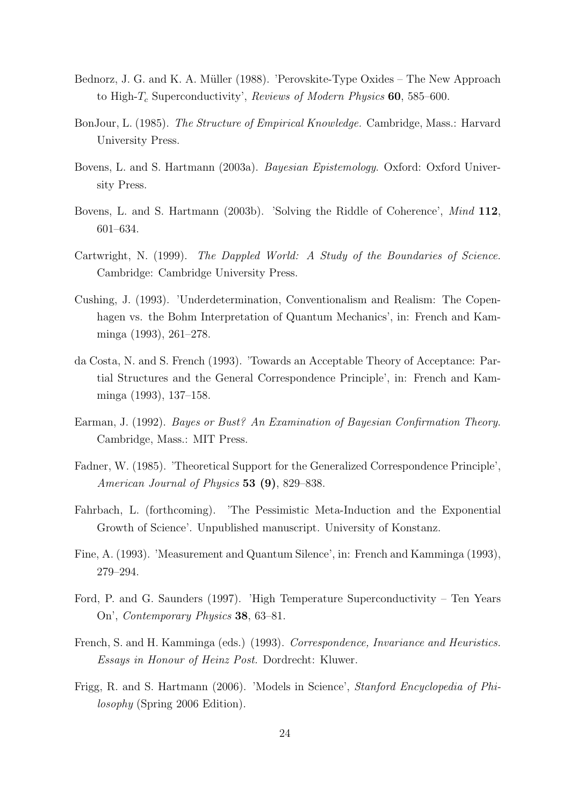- Bednorz, J. G. and K. A. Müller (1988). 'Perovskite-Type Oxides The New Approach to High- $T_c$  Superconductivity', Reviews of Modern Physics 60, 585–600.
- BonJour, L. (1985). The Structure of Empirical Knowledge. Cambridge, Mass.: Harvard University Press.
- Bovens, L. and S. Hartmann (2003a). Bayesian Epistemology. Oxford: Oxford University Press.
- Bovens, L. and S. Hartmann (2003b). 'Solving the Riddle of Coherence', Mind 112, 601–634.
- Cartwright, N. (1999). The Dappled World: A Study of the Boundaries of Science. Cambridge: Cambridge University Press.
- Cushing, J. (1993). 'Underdetermination, Conventionalism and Realism: The Copenhagen vs. the Bohm Interpretation of Quantum Mechanics', in: French and Kamminga (1993), 261–278.
- da Costa, N. and S. French (1993). 'Towards an Acceptable Theory of Acceptance: Partial Structures and the General Correspondence Principle', in: French and Kamminga (1993), 137–158.
- Earman, J. (1992). Bayes or Bust? An Examination of Bayesian Confirmation Theory. Cambridge, Mass.: MIT Press.
- Fadner, W. (1985). 'Theoretical Support for the Generalized Correspondence Principle', American Journal of Physics 53 (9), 829–838.
- Fahrbach, L. (forthcoming). 'The Pessimistic Meta-Induction and the Exponential Growth of Science'. Unpublished manuscript. University of Konstanz.
- Fine, A. (1993). 'Measurement and Quantum Silence', in: French and Kamminga (1993), 279–294.
- Ford, P. and G. Saunders (1997). 'High Temperature Superconductivity Ten Years On', Contemporary Physics 38, 63–81.
- French, S. and H. Kamminga (eds.) (1993). Correspondence, Invariance and Heuristics. Essays in Honour of Heinz Post. Dordrecht: Kluwer.
- Frigg, R. and S. Hartmann (2006). 'Models in Science', Stanford Encyclopedia of Philosophy (Spring 2006 Edition).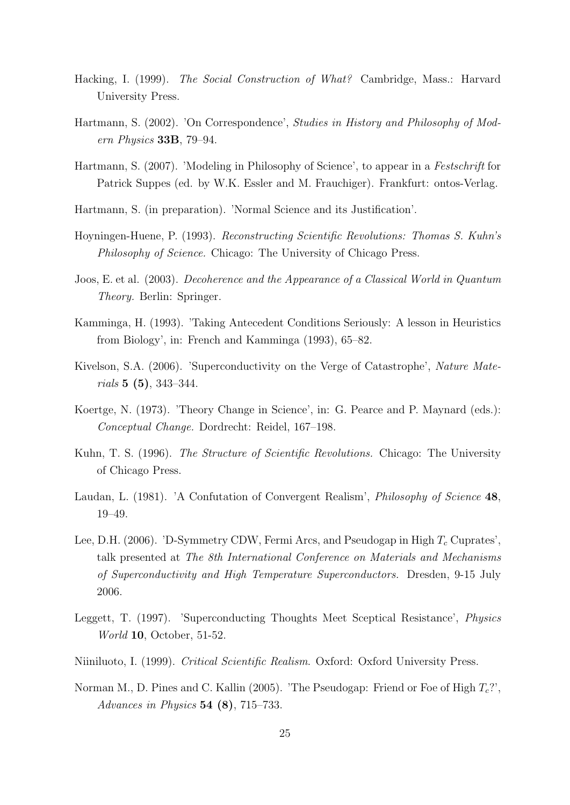- Hacking, I. (1999). The Social Construction of What? Cambridge, Mass.: Harvard University Press.
- Hartmann, S. (2002). 'On Correspondence', Studies in History and Philosophy of Modern Physics 33B, 79–94.
- Hartmann, S. (2007). 'Modeling in Philosophy of Science', to appear in a Festschrift for Patrick Suppes (ed. by W.K. Essler and M. Frauchiger). Frankfurt: ontos-Verlag.
- Hartmann, S. (in preparation). 'Normal Science and its Justification'.
- Hoyningen-Huene, P. (1993). Reconstructing Scientific Revolutions: Thomas S. Kuhn's Philosophy of Science. Chicago: The University of Chicago Press.
- Joos, E. et al. (2003). Decoherence and the Appearance of a Classical World in Quantum Theory. Berlin: Springer.
- Kamminga, H. (1993). 'Taking Antecedent Conditions Seriously: A lesson in Heuristics from Biology', in: French and Kamminga (1993), 65–82.
- Kivelson, S.A. (2006). 'Superconductivity on the Verge of Catastrophe', Nature Mate $rials$  5 (5), 343–344.
- Koertge, N. (1973). 'Theory Change in Science', in: G. Pearce and P. Maynard (eds.): Conceptual Change. Dordrecht: Reidel, 167–198.
- Kuhn, T. S. (1996). *The Structure of Scientific Revolutions*. Chicago: The University of Chicago Press.
- Laudan, L. (1981). 'A Confutation of Convergent Realism', Philosophy of Science 48, 19–49.
- Lee, D.H. (2006). 'D-Symmetry CDW, Fermi Arcs, and Pseudogap in High  $T_c$  Cuprates', talk presented at The 8th International Conference on Materials and Mechanisms of Superconductivity and High Temperature Superconductors. Dresden, 9-15 July 2006.
- Leggett, T. (1997). 'Superconducting Thoughts Meet Sceptical Resistance', Physics World 10, October, 51-52.
- Niiniluoto, I. (1999). Critical Scientific Realism. Oxford: Oxford University Press.
- Norman M., D. Pines and C. Kallin (2005). 'The Pseudogap: Friend or Foe of High  $T_c$ ?', Advances in Physics 54 (8), 715–733.